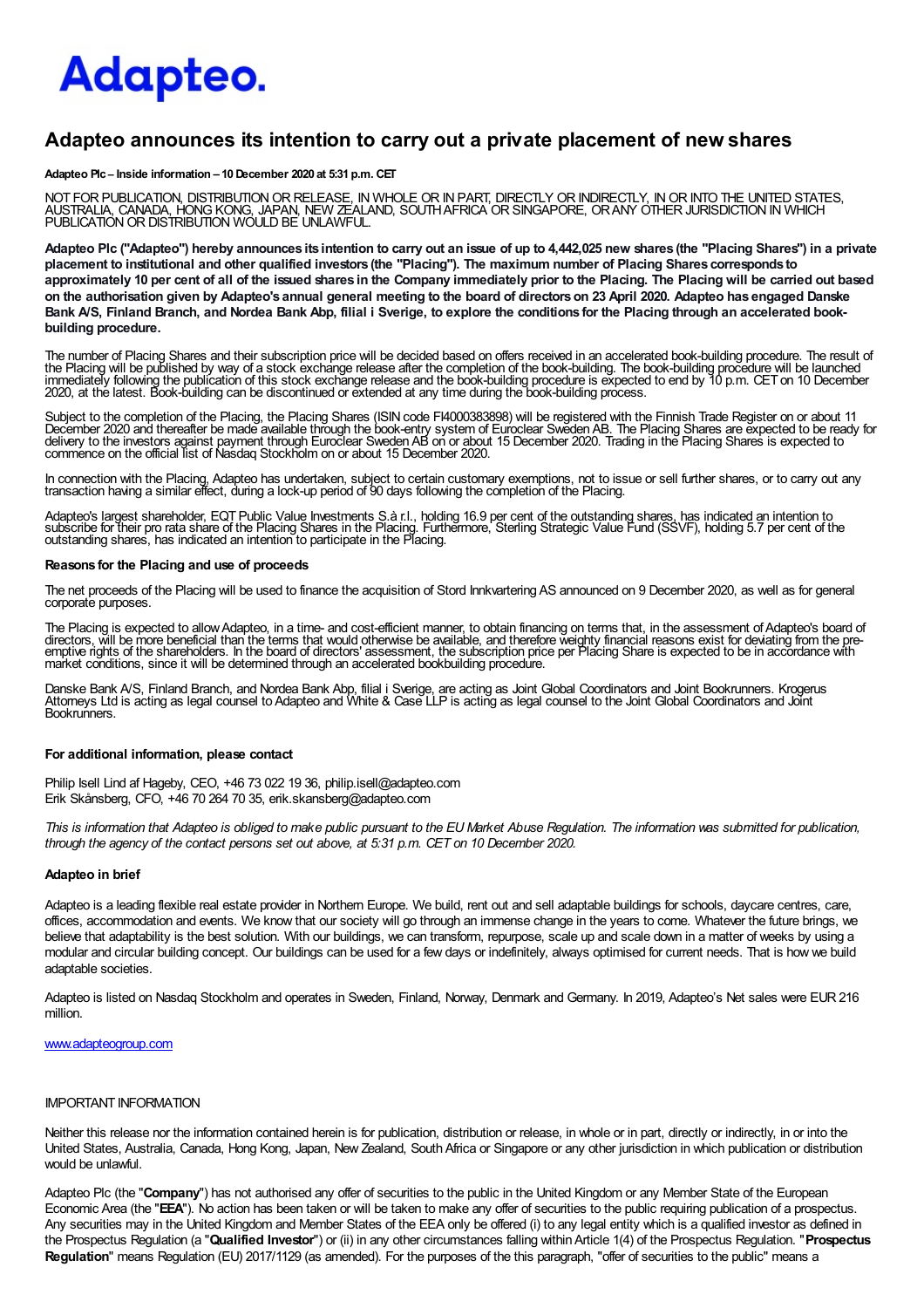# Adapteo.

## Adapteo announces its intention to carry out a private placement of new shares

Adapteo Plc – Inside information – 10 December 2020 at 5:31 p.m. CET

NOT FOR PUBLICATION, DISTRIBUTION OR RELEASE, IN WHOLE OR IN PART, DIRECTLY OR INDIRECTLY. IN OR INTO THE UNITED STATES. AUSTRALIA, CANADA, HONG KONG, JAPAN, NEW ZEALAND, SOUTHAFRICA OR SINGAPORE, OR ANY OTHER JURISDICTION IN WHICH<br>PUBLICATION OR DISTRIBUTION WOULD BE UNLAWFUL.

Adapteo Plc ("Adapteo") hereby announces its intention to carry out an issue of up to 4,442,025 new shares (the "Placing Shares") in a private placement to institutional and other qualified investors (the "Placing"). The maximum number of Placing Shares corresponds to approximately 10 per cent of all of the issued shares in the Company immediately prior to the Placing. The Placing will be carried out based on the authorisation given by Adapteo's annual general meeting to the board of directorson 23 April 2020. Adapteo has engaged Danske Bank A/S, Finland Branch, and Nordea Bank Abp, filial i Sverige, to explore the conditions for the Placing through an accelerated bookbuilding procedure.

The number of Placing Shares and their subscription price will be decided based on offers received in an accelerated book-building procedure. The result of the Placing will be published by way of a stock exchange release after the completion of the book-building. The book-building procedure will be launched<br>immediately following the publication of this stock exchange release 2020, at the latest. Book-building can be discontinued or extended at any time during the book-building process.

Subject to the completion of the Placing, the Placing Shares (ISIN code FI4000383898) will be registered with the Finnish Trade Register on or about 11 December 2020 and thereafter be made available through the book-entry system of Euroclear Sweden AB. The Placing Shares are expected to be ready for<br>delivery to the investors against payment through Euroclear Sweden AB on

In connection with the Placing, Adapteo has undertaken, subject to certain customary exemptions, not to issue or sell further shares, or to carry out any<br>transaction having a similar effect, during a lock-up period of 90 d

Adapteo's largest shareholder, EQT Public Value Investments S.à r.l., holding 16.9 per cent of the outstanding shares, has indicated an intention to<br>subscribe for their pro rata share of the Placing Shares in the Placing. outstanding shares, has indicated an intention to participate in the Placing.

#### Reasons for the Placing and use of proceeds

The net proceeds of the Placing will be used to finance the acquisition of Stord InnkvarteringAS announced on 9 December 2020, as well as for general corporate purposes.

The Placing is expected to allow Adapteo, in a time- and cost-efficient manner, to obtain financing on terms that, in the assessment of Adapteo's board of<br>directors, will be more beneficial than the terms that would otherw market conditions, since it will be determined through an accelerated bookbuilding procedure.

Danske Bank A/S, Finland Branch, and Nordea Bank Abp, filial i Sverige, are acting as Joint Global Coordinators and Joint Bookrunners. Krogerus<br>Attomeys Ltd is acting as legal counsel to Adapteo and White & Case LLP is act Bookrunners.

#### For additional information, please contact

Philip Isell Lind af Hageby, CEO, +46 73 022 19 36, philip.isell@adapteo.com Erik Skånsberg, CFO, +46 70 264 70 35, erik.skansberg@adapteo.com

This is information that Adapteo is obliged to make public pursuant to the EU Market Abuse Regulation. The information was submitted for publication, through the agency of the contact persons set out above, at 5:31 p.m. CET on 10 December 2020.

#### Adapteo in brief

Adapteo is a leading flexible real estate provider in Northern Europe. We build, rent out and sell adaptable buildings for schools, daycare centres, care, offices, accommodation and events. We know that our society will go through an immense change in the years to come. Whatever the future brings, we believe that adaptability is the best solution. With our buildings, we can transform, repurpose, scale up and scale down in a matter of weeks by using a modular and circular building concept. Our buildings can be used for a few days or indefinitely, always optimised for current needs. That is how we build adaptable societies.

Adapteo is listed on Nasdaq Stockholm and operates in Sweden, Finland, Norway, Denmark and Germany. In 2019, Adapteo's Net sales were EUR216 million.

#### www.adapteogroup.com

#### IMPORTANT INFORMATION

Neither this release nor the information contained herein is for publication, distribution or release, in whole or in part, directly or indirectly, in or into the United States, Australia, Canada, Hong Kong, Japan, New Zealand, SouthAfrica or Singapore or any other jurisdiction in which publication or distribution would be unlawful.

Adapteo Plc (the "Company") has not authorised any offer of securities to the public in the United Kingdom or any Member State of the European Economic Area (the "EEA"). No action has been taken or will be taken to make any offer of securities to the public requiring publication of a prospectus. Any securities may in the United Kingdom and Member States of the EEA only be offered (i) to any legal entity which is a qualified investor as defined in the Prospectus Regulation (a "Qualified Investor") or (ii) in any other circumstances falling within Article 1(4) of the Prospectus Regulation. "Prospectus Regulation" means Regulation (EU) 2017/1129 (as amended). For the purposes of the this paragraph, "offer of securities to the public" means a